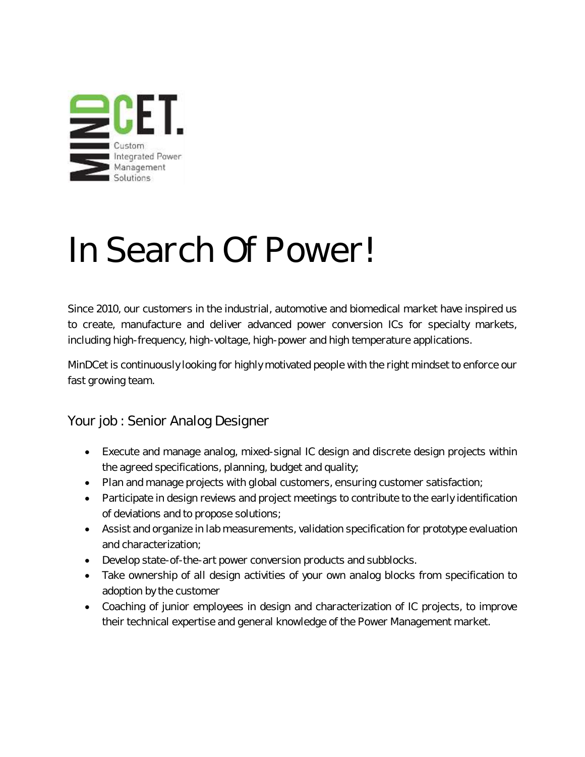

## In Search Of Power!

Since 2010, our customers in the industrial, automotive and biomedical market have inspired us to create, manufacture and deliver advanced power conversion ICs for specialty markets, including high-frequency, high-voltage, high-power and high temperature applications.

MinDCet is continuously looking for highly motivated people with the right mindset to enforce our fast growing team.

Your job : Senior Analog Designer

- Execute and manage analog, mixed-signal IC design and discrete design projects within the agreed specifications, planning, budget and quality;
- Plan and manage projects with global customers, ensuring customer satisfaction;
- Participate in design reviews and project meetings to contribute to the early identification of deviations and to propose solutions;
- Assist and organize in lab measurements, validation specification for prototype evaluation and characterization;
- Develop state-of-the-art power conversion products and subblocks.
- Take ownership of all design activities of your own analog blocks from specification to adoption by the customer
- Coaching of junior employees in design and characterization of IC projects, to improve their technical expertise and general knowledge of the Power Management market.